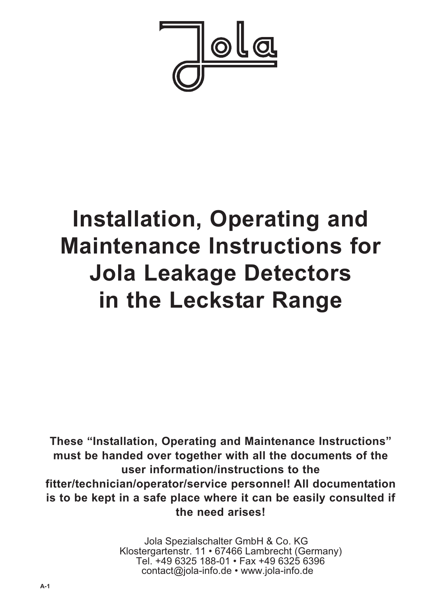

# **Installation, Operating and Maintenance Instructions for Jola Leakage Detectors in the Leckstar Range**

**These "Installation, Operating and Maintenance Instructions" must be handed over together with all the documents of the user information/instructions to the fitter/technician/operator/service personnel! All documentation is to be kept in a safe place where it can be easily consulted if the need arises!**

> Jola Spezialschalter GmbH & Co. KG Klostergartenstr. 11 • 67466 Lambrecht (Germany) Tel. +49 6325 188-01 • Fax +49 6325 6396 contact@jola-info.de • www.jola-info.de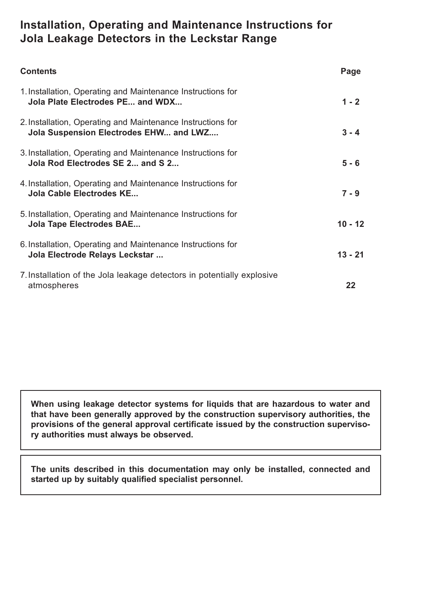# **Installation, Operating and Maintenance Instructions for Jola Leakage Detectors in the Leckstar Range**

| <b>Contents</b>                                                                                       | Page      |
|-------------------------------------------------------------------------------------------------------|-----------|
| 1. Installation, Operating and Maintenance Instructions for<br>Jola Plate Electrodes PE and WDX       | $1 - 2$   |
| 2. Installation, Operating and Maintenance Instructions for<br>Jola Suspension Electrodes EHW and LWZ | $3 - 4$   |
| 3. Installation, Operating and Maintenance Instructions for<br>Jola Rod Electrodes SE 2 and S 2       | $5 - 6$   |
| 4. Installation, Operating and Maintenance Instructions for<br>Jola Cable Electrodes KE               | $7 - 9$   |
| 5. Installation, Operating and Maintenance Instructions for<br><b>Jola Tape Electrodes BAE</b>        | $10 - 12$ |
| 6. Installation, Operating and Maintenance Instructions for<br>Jola Electrode Relays Leckstar         | $13 - 21$ |
| 7. Installation of the Jola leakage detectors in potentially explosive<br>atmospheres                 | 22        |

**When using leakage detector systems for liquids that are hazardous to water and that have been generally approved by the construction supervisory authorities, the provisions of the general approval certificate issued by the construction supervisory authorities must always be observed.**

**The units described in this documentation may only be installed, connected and started up by suitably qualified specialist personnel.**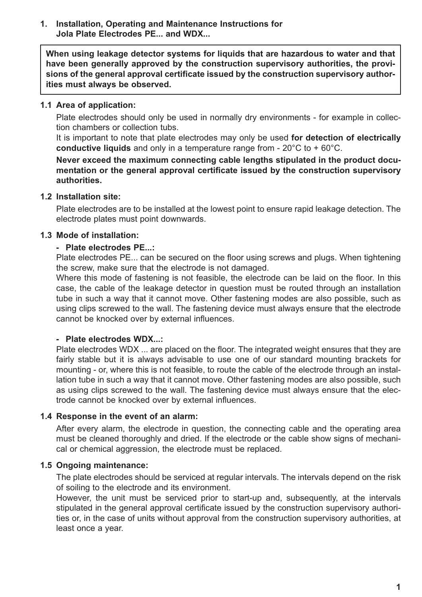#### **1. Installation, Operating and Maintenance Instructions for Jola Plate Electrodes PE... and WDX...**

**When using leakage detector systems for liquids that are hazardous to water and that have been generally approved by the construction supervisory authorities, the provisions of the general approval certificate issued by the construction supervisory authorities must always be observed.**

#### **1.1 Area of application:**

Plate electrodes should only be used in normally dry environments - for example in collection chambers or collection tubs.

It is important to note that plate electrodes may only be used **for detection of electrically conductive liquids** and only in a temperature range from - 20°C to + 60°C.

**Never exceed the maximum connecting cable lengths stipulated in the product documentation or the general approval certificate issued by the construction supervisory authorities.**

#### **1.2 Installation site:**

Plate electrodes are to be installed at the lowest point to ensure rapid leakage detection. The electrode plates must point downwards.

#### **1.3 Mode of installation:**

#### **- Plate electrodes PE...:**

Plate electrodes PE... can be secured on the floor using screws and plugs. When tightening the screw, make sure that the electrode is not damaged.

Where this mode of fastening is not feasible, the electrode can be laid on the floor. In this case, the cable of the leakage detector in question must be routed through an installation tube in such a way that it cannot move. Other fastening modes are also possible, such as using clips screwed to the wall. The fastening device must always ensure that the electrode cannot be knocked over by external influences.

#### **- Plate electrodes WDX...:**

Plate electrodes WDX ... are placed on the floor. The integrated weight ensures that they are fairly stable but it is always advisable to use one of our standard mounting brackets for mounting - or, where this is not feasible, to route the cable of the electrode through an installation tube in such a way that it cannot move. Other fastening modes are also possible, such as using clips screwed to the wall. The fastening device must always ensure that the electrode cannot be knocked over by external influences.

#### **1.4 Response in the event of an alarm:**

After every alarm, the electrode in question, the connecting cable and the operating area must be cleaned thoroughly and dried. If the electrode or the cable show signs of mechanical or chemical aggression, the electrode must be replaced.

#### **1.5 Ongoing maintenance:**

The plate electrodes should be serviced at regular intervals. The intervals depend on the risk of soiling to the electrode and its environment.

However, the unit must be serviced prior to start-up and, subsequently, at the intervals stipulated in the general approval certificate issued by the construction supervisory authorities or, in the case of units without approval from the construction supervisory authorities, at least once a year.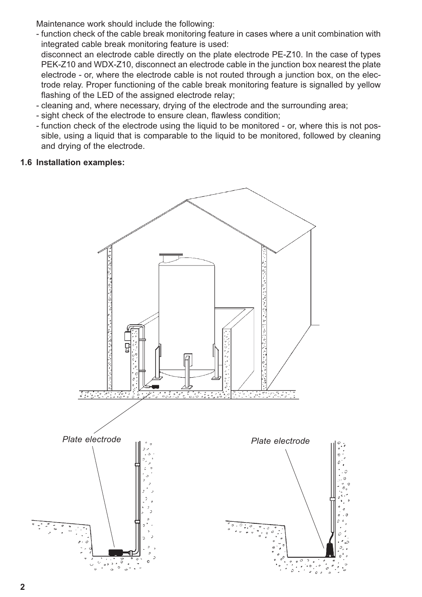Maintenance work should include the following:

- function check of the cable break monitoring feature in cases where a unit combination with integrated cable break monitoring feature is used:

disconnect an electrode cable directly on the plate electrode PE-Z10. In the case of types PEK-Z10 and WDX-Z10, disconnect an electrode cable in the junction box nearest the plate electrode - or, where the electrode cable is not routed through a junction box, on the electrode relay. Proper functioning of the cable break monitoring feature is signalled by yellow flashing of the LED of the assigned electrode relay;

- cleaning and, where necessary, drying of the electrode and the surrounding area;
- sight check of the electrode to ensure clean, flawless condition;
- function check of the electrode using the liquid to be monitored or, where this is not possible, using a liquid that is comparable to the liquid to be monitored, followed by cleaning and drying of the electrode.

## **1.6 Installation examples:**

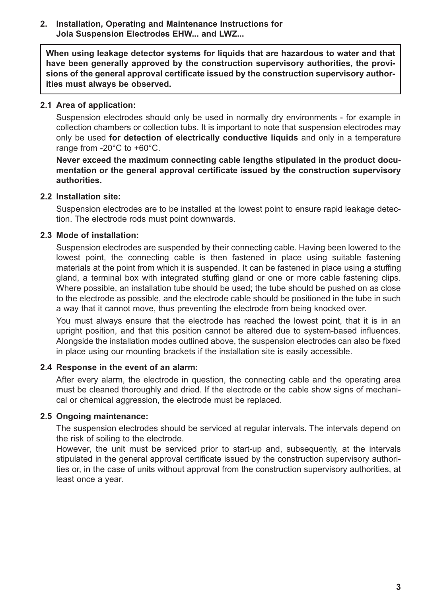#### **2. Installation, Operating and Maintenance Instructions for Jola Suspension Electrodes EHW... and LWZ...**

**When using leakage detector systems for liquids that are hazardous to water and that have been generally approved by the construction supervisory authorities, the provisions of the general approval certificate issued by the construction supervisory authorities must always be observed.**

#### **2.1 Area of application:**

Suspension electrodes should only be used in normally dry environments - for example in collection chambers or collection tubs. It is important to note that suspension electrodes may only be used **for detection of electrically conductive liquids** and only in a temperature range from -20°C to +60°C.

**Never exceed the maximum connecting cable lengths stipulated in the product documentation or the general approval certificate issued by the construction supervisory authorities.**

#### **2.2 Installation site:**

Suspension electrodes are to be installed at the lowest point to ensure rapid leakage detection. The electrode rods must point downwards.

#### **2.3 Mode of installation:**

Suspension electrodes are suspended by their connecting cable. Having been lowered to the lowest point, the connecting cable is then fastened in place using suitable fastening materials at the point from which it is suspended. It can be fastened in place using a stuffing gland, a terminal box with integrated stuffing gland or one or more cable fastening clips. Where possible, an installation tube should be used; the tube should be pushed on as close to the electrode as possible, and the electrode cable should be positioned in the tube in such a way that it cannot move, thus preventing the electrode from being knocked over.

You must always ensure that the electrode has reached the lowest point, that it is in an upright position, and that this position cannot be altered due to system-based influences. Alongside the installation modes outlined above, the suspension electrodes can also be fixed in place using our mounting brackets if the installation site is easily accessible.

#### **2.4 Response in the event of an alarm:**

After every alarm, the electrode in question, the connecting cable and the operating area must be cleaned thoroughly and dried. If the electrode or the cable show signs of mechanical or chemical aggression, the electrode must be replaced.

#### **2.5 Ongoing maintenance:**

The suspension electrodes should be serviced at regular intervals. The intervals depend on the risk of soiling to the electrode.

However, the unit must be serviced prior to start-up and, subsequently, at the intervals stipulated in the general approval certificate issued by the construction supervisory authorities or, in the case of units without approval from the construction supervisory authorities, at least once a year.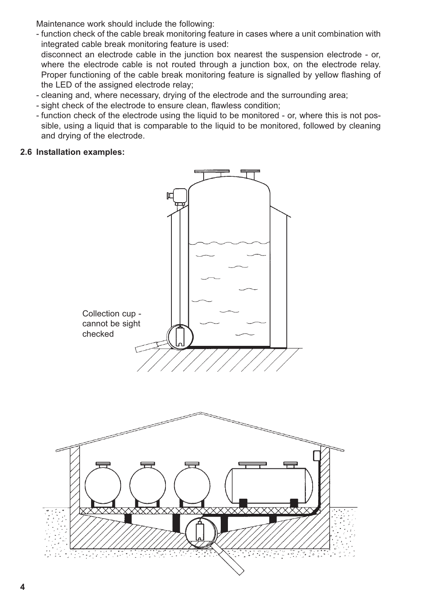Maintenance work should include the following:

- function check of the cable break monitoring feature in cases where a unit combination with integrated cable break monitoring feature is used: disconnect an electrode cable in the junction box nearest the suspension electrode - or,

where the electrode cable is not routed through a junction box, on the electrode relay. Proper functioning of the cable break monitoring feature is signalled by yellow flashing of the LED of the assigned electrode relay;

- cleaning and, where necessary, drying of the electrode and the surrounding area;
- sight check of the electrode to ensure clean, flawless condition;
- function check of the electrode using the liquid to be monitored or, where this is not possible, using a liquid that is comparable to the liquid to be monitored, followed by cleaning and drying of the electrode.

### **2.6 Installation examples:**



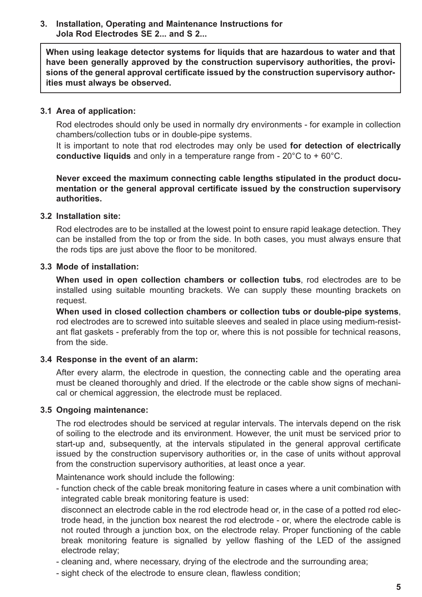#### **3. Installation, Operating and Maintenance Instructions for Jola Rod Electrodes SE 2... and S 2...**

**When using leakage detector systems for liquids that are hazardous to water and that have been generally approved by the construction supervisory authorities, the provisions of the general approval certificate issued by the construction supervisory authorities must always be observed.**

#### **3.1 Area of application:**

Rod electrodes should only be used in normally dry environments - for example in collection chambers/collection tubs or in double-pipe systems.

It is important to note that rod electrodes may only be used **for detection of electrically conductive liquids** and only in a temperature range from - 20°C to + 60°C.

**Never exceed the maximum connecting cable lengths stipulated in the product documentation or the general approval certificate issued by the construction supervisory authorities.**

#### **3.2 Installation site:**

Rod electrodes are to be installed at the lowest point to ensure rapid leakage detection. They can be installed from the top or from the side. In both cases, you must always ensure that the rods tips are just above the floor to be monitored.

#### **3.3 Mode of installation:**

**When used in open collection chambers or collection tubs**, rod electrodes are to be installed using suitable mounting brackets. We can supply these mounting brackets on request.

**When used in closed collection chambers or collection tubs or double-pipe systems**, rod electrodes are to screwed into suitable sleeves and sealed in place using medium-resistant flat gaskets - preferably from the top or, where this is not possible for technical reasons, from the side.

#### **3.4 Response in the event of an alarm:**

After every alarm, the electrode in question, the connecting cable and the operating area must be cleaned thoroughly and dried. If the electrode or the cable show signs of mechanical or chemical aggression, the electrode must be replaced.

#### **3.5 Ongoing maintenance:**

The rod electrodes should be serviced at regular intervals. The intervals depend on the risk of soiling to the electrode and its environment. However, the unit must be serviced prior to start-up and, subsequently, at the intervals stipulated in the general approval certificate issued by the construction supervisory authorities or, in the case of units without approval from the construction supervisory authorities, at least once a year.

Maintenance work should include the following:

- function check of the cable break monitoring feature in cases where a unit combination with integrated cable break monitoring feature is used:

disconnect an electrode cable in the rod electrode head or, in the case of a potted rod electrode head, in the junction box nearest the rod electrode - or, where the electrode cable is not routed through a junction box, on the electrode relay. Proper functioning of the cable break monitoring feature is signalled by yellow flashing of the LED of the assigned electrode relay;

- cleaning and, where necessary, drying of the electrode and the surrounding area;
- sight check of the electrode to ensure clean, flawless condition;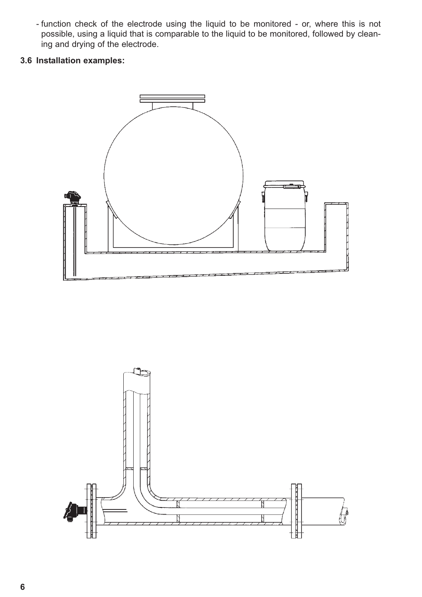- function check of the electrode using the liquid to be monitored - or, where this is not possible, using a liquid that is comparable to the liquid to be monitored, followed by cleaning and drying of the electrode.

# **3.6 Installation examples:**



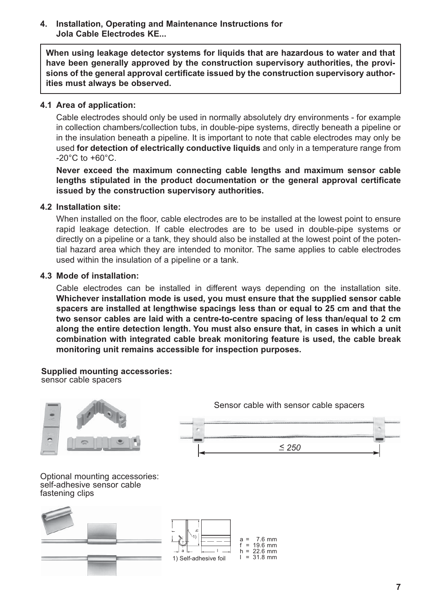#### **4. Installation, Operating and Maintenance Instructions for Jola Cable Electrodes KE...**

**When using leakage detector systems for liquids that are hazardous to water and that have been generally approved by the construction supervisory authorities, the provisions of the general approval certificate issued by the construction supervisory authorities must always be observed.**

#### **4.1 Area of application:**

Cable electrodes should only be used in normally absolutely dry environments - for example in collection chambers/collection tubs, in double-pipe systems, directly beneath a pipeline or in the insulation beneath a pipeline. It is important to note that cable electrodes may only be used **for detection of electrically conductive liquids** and only in a temperature range from  $-20^{\circ}$ C to  $+60^{\circ}$ C.

**Never exceed the maximum connecting cable lengths and maximum sensor cable lengths stipulated in the product documentation or the general approval certificate issued by the construction supervisory authorities.**

#### **4.2 Installation site:**

When installed on the floor, cable electrodes are to be installed at the lowest point to ensure rapid leakage detection. If cable electrodes are to be used in double-pipe systems or directly on a pipeline or a tank, they should also be installed at the lowest point of the potential hazard area which they are intended to monitor. The same applies to cable electrodes used within the insulation of a pipeline or a tank.

#### **4.3 Mode of installation:**

Cable electrodes can be installed in different ways depending on the installation site. **Whichever installation mode is used, you must ensure that the supplied sensor cable spacers are installed at lengthwise spacings less than or equal to 25 cm and that the two sensor cables are laid with a centre-to-centre spacing of less than/equal to 2 cm along the entire detection length. You must also ensure that, in cases in which a unit combination with integrated cable break monitoring feature is used, the cable break monitoring unit remains accessible for inspection purposes.**

**Supplied mounting accessories:**  sensor cable spacers



Optional mounting accessories: self-adhesive sensor cable fastening clips



Sensor cable with sensor cable spacers

*\_ < 250*

**7**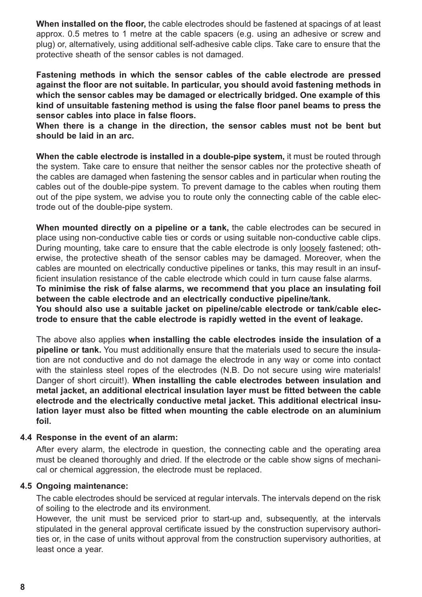**When installed on the floor,** the cable electrodes should be fastened at spacings of at least approx. 0.5 metres to 1 metre at the cable spacers (e.g. using an adhesive or screw and plug) or, alternatively, using additional self-adhesive cable clips. Take care to ensure that the protective sheath of the sensor cables is not damaged.

**Fastening methods in which the sensor cables of the cable electrode are pressed against the floor are not suitable. In particular, you should avoid fastening methods in which the sensor cables may be damaged or electrically bridged. One example of this kind of unsuitable fastening method is using the false floor panel beams to press the sensor cables into place in false floors.**

**When there is a change in the direction, the sensor cables must not be bent but should be laid in an arc.**

**When the cable electrode is installed in a double-pipe system,** it must be routed through the system. Take care to ensure that neither the sensor cables nor the protective sheath of the cables are damaged when fastening the sensor cables and in particular when routing the cables out of the double-pipe system. To prevent damage to the cables when routing them out of the pipe system, we advise you to route only the connecting cable of the cable electrode out of the double-pipe system.

**When mounted directly on a pipeline or a tank,** the cable electrodes can be secured in place using non-conductive cable ties or cords or using suitable non-conductive cable clips. During mounting, take care to ensure that the cable electrode is only loosely fastened; otherwise, the protective sheath of the sensor cables may be damaged. Moreover, when the cables are mounted on electrically conductive pipelines or tanks, this may result in an insufficient insulation resistance of the cable electrode which could in turn cause false alarms.

**To minimise the risk of false alarms, we recommend that you place an insulating foil between the cable electrode and an electrically conductive pipeline/tank.**

You should also use a suitable jacket on pipeline/cable electrode or tank/cable elec**trode to ensure that the cable electrode is rapidly wetted in the event of leakage.**

The above also applies **when installing the cable electrodes inside the insulation of a pipeline or tank.** You must additionally ensure that the materials used to secure the insulation are not conductive and do not damage the electrode in any way or come into contact with the stainless steel ropes of the electrodes (N.B. Do not secure using wire materials! Danger of short circuit!). **When installing the cable electrodes between insulation and metal jacket, an additional electrical insulation layer must be fitted between the cable electrode and the electrically conductive metal jacket. This additional electrical insulation layer must also be fitted when mounting the cable electrode on an aluminium foil.**

#### **4.4 Response in the event of an alarm:**

After every alarm, the electrode in question, the connecting cable and the operating area must be cleaned thoroughly and dried. If the electrode or the cable show signs of mechanical or chemical aggression, the electrode must be replaced.

#### **4.5 Ongoing maintenance:**

The cable electrodes should be serviced at regular intervals. The intervals depend on the risk of soiling to the electrode and its environment.

However, the unit must be serviced prior to start-up and, subsequently, at the intervals stipulated in the general approval certificate issued by the construction supervisory authorities or, in the case of units without approval from the construction supervisory authorities, at least once a year.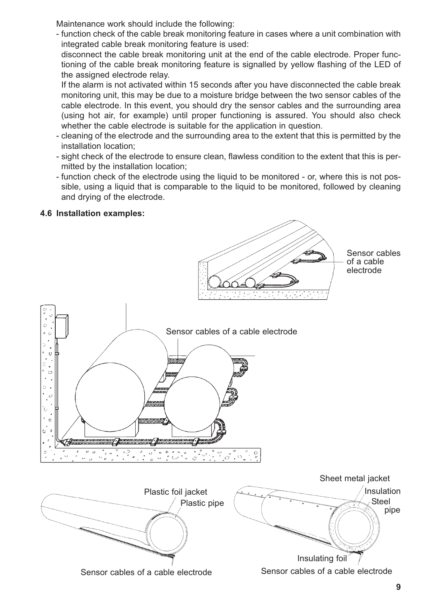Maintenance work should include the following:

- function check of the cable break monitoring feature in cases where a unit combination with integrated cable break monitoring feature is used:

disconnect the cable break monitoring unit at the end of the cable electrode. Proper functioning of the cable break monitoring feature is signalled by yellow flashing of the LED of the assigned electrode relay.

If the alarm is not activated within 15 seconds after you have disconnected the cable break monitoring unit, this may be due to a moisture bridge between the two sensor cables of the cable electrode. In this event, you should dry the sensor cables and the surrounding area (using hot air, for example) until proper functioning is assured. You should also check whether the cable electrode is suitable for the application in question.

- cleaning of the electrode and the surrounding area to the extent that this is permitted by the installation location;
- sight check of the electrode to ensure clean, flawless condition to the extent that this is permitted by the installation location;
- function check of the electrode using the liquid to be monitored or, where this is not possible, using a liquid that is comparable to the liquid to be monitored, followed by cleaning and drying of the electrode.

## **4.6 Installation examples:**

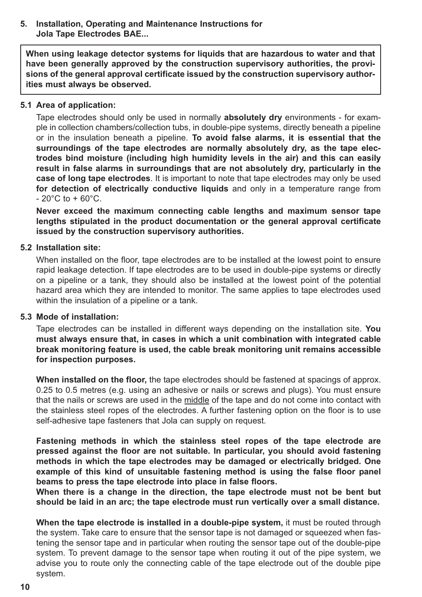#### **5. Installation, Operating and Maintenance Instructions for Jola Tape Electrodes BAE...**

**When using leakage detector systems for liquids that are hazardous to water and that have been generally approved by the construction supervisory authorities, the provisions of the general approval certificate issued by the construction supervisory authorities must always be observed.**

#### **5.1 Area of application:**

Tape electrodes should only be used in normally **absolutely dry** environments - for example in collection chambers/collection tubs, in double-pipe systems, directly beneath a pipeline or in the insulation beneath a pipeline. **To avoid false alarms, it is essential that the surroundings of the tape electrodes are normally absolutely dry, as the tape electrodes bind moisture (including high humidity levels in the air) and this can easily result in false alarms in surroundings that are not absolutely dry, particularly in the case of long tape electrodes**. It is important to note that tape electrodes may only be used **for detection of electrically conductive liquids** and only in a temperature range from  $-20^{\circ}$ C to  $+60^{\circ}$ C.

**Never exceed the maximum connecting cable lengths and maximum sensor tape lengths stipulated in the product documentation or the general approval certificate issued by the construction supervisory authorities.**

#### **5.2 Installation site:**

When installed on the floor, tape electrodes are to be installed at the lowest point to ensure rapid leakage detection. If tape electrodes are to be used in double-pipe systems or directly on a pipeline or a tank, they should also be installed at the lowest point of the potential hazard area which they are intended to monitor. The same applies to tape electrodes used within the insulation of a pipeline or a tank.

#### **5.3 Mode of installation:**

Tape electrodes can be installed in different ways depending on the installation site. **You must always ensure that, in cases in which a unit combination with integrated cable break monitoring feature is used, the cable break monitoring unit remains accessible for inspection purposes.**

**When installed on the floor,** the tape electrodes should be fastened at spacings of approx. 0.25 to 0.5 metres (e.g. using an adhesive or nails or screws and plugs). You must ensure that the nails or screws are used in the middle of the tape and do not come into contact with the stainless steel ropes of the electrodes. A further fastening option on the floor is to use self-adhesive tape fasteners that Jola can supply on request.

**Fastening methods in which the stainless steel ropes of the tape electrode are pressed against the floor are not suitable. In particular, you should avoid fastening methods in which the tape electrodes may be damaged or electrically bridged. One example of this kind of unsuitable fastening method is using the false floor panel beams to press the tape electrode into place in false floors.**

**When there is a change in the direction, the tape electrode must not be bent but should be laid in an arc; the tape electrode must run vertically over a small distance.**

**When the tape electrode is installed in a double-pipe system,** it must be routed through the system. Take care to ensure that the sensor tape is not damaged or squeezed when fastening the sensor tape and in particular when routing the sensor tape out of the double-pipe system. To prevent damage to the sensor tape when routing it out of the pipe system, we advise you to route only the connecting cable of the tape electrode out of the double pipe system.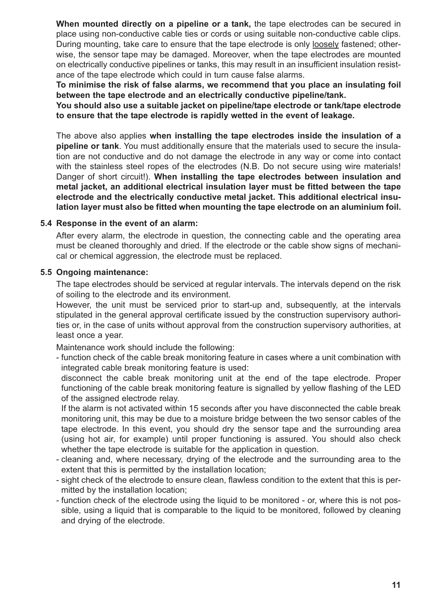**When mounted directly on a pipeline or a tank,** the tape electrodes can be secured in place using non-conductive cable ties or cords or using suitable non-conductive cable clips. During mounting, take care to ensure that the tape electrode is only loosely fastened; otherwise, the sensor tape may be damaged. Moreover, when the tape electrodes are mounted on electrically conductive pipelines or tanks, this may result in an insufficient insulation resistance of the tape electrode which could in turn cause false alarms.

**To minimise the risk of false alarms, we recommend that you place an insulating foil between the tape electrode and an electrically conductive pipeline/tank.**

**You should also use a suitable jacket on pipeline/tape electrode or tank/tape electrode to ensure that the tape electrode is rapidly wetted in the event of leakage.**

The above also applies **when installing the tape electrodes inside the insulation of a pipeline or tank**. You must additionally ensure that the materials used to secure the insulation are not conductive and do not damage the electrode in any way or come into contact with the stainless steel ropes of the electrodes (N.B. Do not secure using wire materials! Danger of short circuit!). **When installing the tape electrodes between insulation and metal jacket, an additional electrical insulation layer must be fitted between the tape electrode and the electrically conductive metal jacket. This additional electrical insulation layer must also be fitted when mounting the tape electrode on an aluminium foil.**

#### **5.4 Response in the event of an alarm:**

After every alarm, the electrode in question, the connecting cable and the operating area must be cleaned thoroughly and dried. If the electrode or the cable show signs of mechanical or chemical aggression, the electrode must be replaced.

#### **5.5 Ongoing maintenance:**

The tape electrodes should be serviced at regular intervals. The intervals depend on the risk of soiling to the electrode and its environment.

However, the unit must be serviced prior to start-up and, subsequently, at the intervals stipulated in the general approval certificate issued by the construction supervisory authorities or, in the case of units without approval from the construction supervisory authorities, at least once a year.

Maintenance work should include the following:

- function check of the cable break monitoring feature in cases where a unit combination with integrated cable break monitoring feature is used:

disconnect the cable break monitoring unit at the end of the tape electrode. Proper functioning of the cable break monitoring feature is signalled by yellow flashing of the LED of the assigned electrode relay.

If the alarm is not activated within 15 seconds after you have disconnected the cable break monitoring unit, this may be due to a moisture bridge between the two sensor cables of the tape electrode. In this event, you should dry the sensor tape and the surrounding area (using hot air, for example) until proper functioning is assured. You should also check whether the tape electrode is suitable for the application in question.

- cleaning and, where necessary, drying of the electrode and the surrounding area to the extent that this is permitted by the installation location;
- sight check of the electrode to ensure clean, flawless condition to the extent that this is permitted by the installation location;
- function check of the electrode using the liquid to be monitored or, where this is not possible, using a liquid that is comparable to the liquid to be monitored, followed by cleaning and drying of the electrode.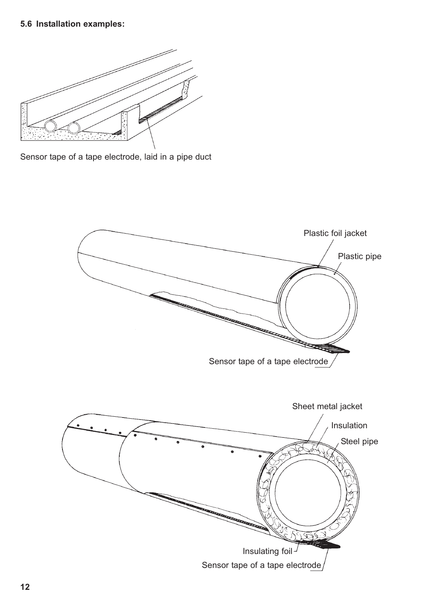# **5.6 Installation examples:**



Sensor tape of a tape electrode, laid in a pipe duct

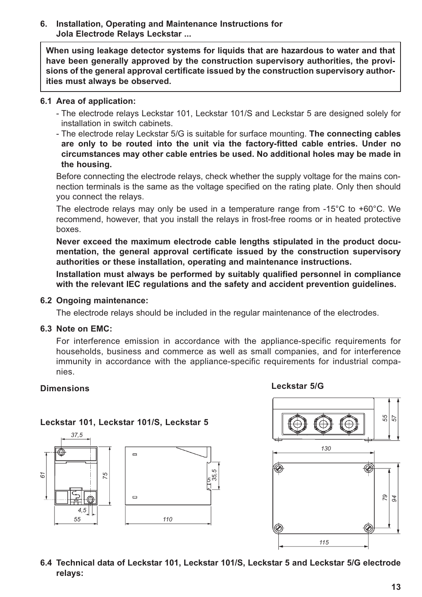#### **6. Installation, Operating and Maintenance Instructions for Jola Electrode Relays Leckstar ...**

**When using leakage detector systems for liquids that are hazardous to water and that have been generally approved by the construction supervisory authorities, the provisions of the general approval certificate issued by the construction supervisory authorities must always be observed.**

#### **6.1 Area of application:**

- The electrode relays Leckstar 101, Leckstar 101/S and Leckstar 5 are designed solely for installation in switch cabinets.
- The electrode relay Leckstar 5/G is suitable for surface mounting. **The connecting cables are only to be routed into the unit via the factory-fitted cable entries. Under no circumstances may other cable entries be used. No additional holes may be made in the housing.**

Before connecting the electrode relays, check whether the supply voltage for the mains connection terminals is the same as the voltage specified on the rating plate. Only then should you connect the relays.

The electrode relays may only be used in a temperature range from -15°C to +60°C. We recommend, however, that you install the relays in frost-free rooms or in heated protective boxes.

**Never exceed the maximum electrode cable lengths stipulated in the product documentation, the general approval certificate issued by the construction supervisory authorities or these installation, operating and maintenance instructions.**

**Installation must always be performed by suitably qualified personnel in compliance with the relevant IEC regulations and the safety and accident prevention guidelines.**

#### **6.2 Ongoing maintenance:**

The electrode relays should be included in the regular maintenance of the electrodes.

#### **6.3 Note on EMC:**

For interference emission in accordance with the appliance-specific requirements for households, business and commerce as well as small companies, and for interference immunity in accordance with the appliance-specific requirements for industrial companies.

#### **Dimensions**

#### **Leckstar 5/G**

#### **Leckstar 101, Leckstar 101/S, Leckstar 5**





#### **6.4 Technical data of Leckstar 101, Leckstar 101/S, Leckstar 5 and Leckstar 5/G electrode relays:**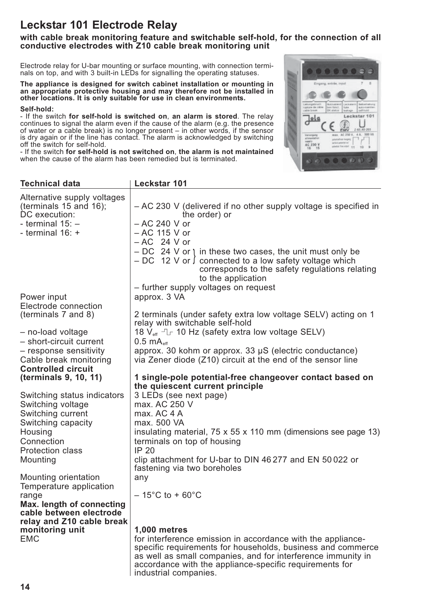# **Leckstar 101 Electrode Relay**

#### **with cable break monitoring feature and switchable self-hold, for the connection of all conductive electrodes with Z10 cable break monitoring unit**

Electrode relay for U-bar mounting or surface mounting, with connection terminals on top, and with 3 built-in LEDs for signalling the operating statuses.

**The appliance is designed for switch cabinet installation or mounting in an appropriate protective housing and may therefore not be installed in other locations. It is only suitable for use in clean environments.**

#### **Self-hold:**

- If the switch **for self-hold is switched on**, **an alarm is stored**. The relay continues to signal the alarm even if the cause of the alarm (e.g. the presence of water or a cable break) is no longer present – in other words, if the sensor is dry again or if the line has contact. The alarm is acknowledged by switching off the switch for self-hold.

- If the switch **for self-hold is not switched on**, **the alarm is not maintained** when the cause of the alarm has been remedied but is terminated.

| <b>Technical data</b>                                                  | Leckstar 101                                                                                                                                                                                      |
|------------------------------------------------------------------------|---------------------------------------------------------------------------------------------------------------------------------------------------------------------------------------------------|
| Alternative supply voltages<br>(terminals 15 and 16);<br>DC execution: | - AC 230 V (delivered if no other supply voltage is specified in<br>the order) or                                                                                                                 |
| - terminal $15:$ -<br>- terminal $16: +$                               | - AC 240 V or<br>- AC 115 V or                                                                                                                                                                    |
|                                                                        | $-AC$ 24 V or                                                                                                                                                                                     |
|                                                                        | $-DC$ 24 V or 1 in these two cases, the unit must only be<br>$-DC$ 12 V or $\int$ connected to a low safety voltage which<br>corresponds to the safety regulations relating<br>to the application |
|                                                                        | - further supply voltages on request                                                                                                                                                              |
| Power input                                                            | approx. 3 VA                                                                                                                                                                                      |
| Electrode connection<br>(terminals 7 and 8)                            | 2 terminals (under safety extra low voltage SELV) acting on 1<br>relay with switchable self-hold                                                                                                  |
| - no-load voltage                                                      | 18 V <sub>eff</sub> - 10 Hz (safety extra low voltage SELV)                                                                                                                                       |
| - short-circuit current                                                | $0.5 \text{ mA}_{\text{eff}}$                                                                                                                                                                     |
| - response sensitivity                                                 | approx. 30 kohm or approx. 33 $\mu$ S (electric conductance)                                                                                                                                      |
| Cable break monitoring<br><b>Controlled circuit</b>                    | via Zener diode (Z10) circuit at the end of the sensor line                                                                                                                                       |
| (terminals 9, 10, 11)                                                  | 1 single-pole potential-free changeover contact based on<br>the quiescent current principle                                                                                                       |
| Switching status indicators                                            | 3 LEDs (see next page)                                                                                                                                                                            |
| Switching voltage                                                      | max. AC 250 V                                                                                                                                                                                     |
| Switching current                                                      | max. AC 4 A                                                                                                                                                                                       |
| Switching capacity<br>Housing                                          | max. 500 VA<br>insulating material, 75 x 55 x 110 mm (dimensions see page 13)                                                                                                                     |
| Connection                                                             | terminals on top of housing                                                                                                                                                                       |
| <b>Protection class</b>                                                | <b>IP 20</b>                                                                                                                                                                                      |
| Mounting                                                               | clip attachment for U-bar to DIN 46277 and EN 50022 or<br>fastening via two boreholes                                                                                                             |
| Mounting orientation                                                   | any                                                                                                                                                                                               |
| Temperature application                                                |                                                                                                                                                                                                   |
| range<br>Max. length of connecting                                     | $-15^{\circ}$ C to + 60 $^{\circ}$ C                                                                                                                                                              |
| cable between electrode                                                |                                                                                                                                                                                                   |
| relay and Z10 cable break                                              |                                                                                                                                                                                                   |
| monitoring unit                                                        | <b>1,000 metres</b>                                                                                                                                                                               |
| <b>EMC</b>                                                             | for interference emission in accordance with the appliance-<br>specific requirements for households, business and commerce<br>as well as small companies, and for interference immunity in        |
|                                                                        | accordance with the appliance-specific requirements for                                                                                                                                           |

industrial companies.

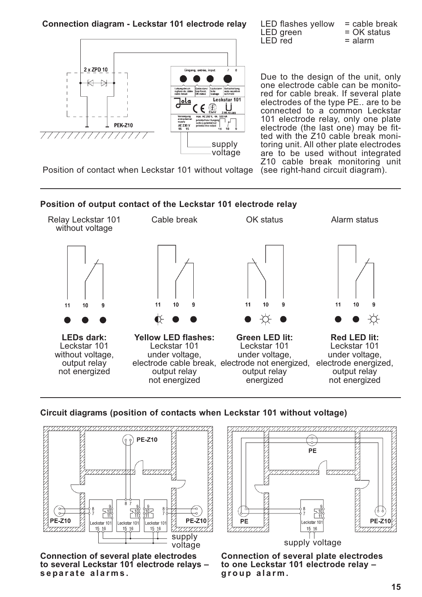**Connection diagram - Leckstar 101 electrode relay** 



| <b>LED flashes yellow</b> | $=$ cable break |
|---------------------------|-----------------|
| LED green                 | $= OK$ status   |
| LED red                   | $=$ alarm       |

Due to the design of the unit, only one electrode cable can be monitored for cable break. If several plate electrodes of the type PE.. are to be connected to a common Leckstar 101 electrode relay, only one plate electrode (the last one) may be fitted with the Z10 cable break monitoring unit. All other plate electrodes are to be used without integrated Z10 cable break monitoring unit

Position of contact when Leckstar 101 without voltage (see right-hand circuit diagram).





#### **Circuit diagrams (position of contacts when Leckstar 101 without voltage)**



**Connection of several plate electrodes to several Leckstar 101 electrode relays – separate alarms.**



voltage supply voltage

**Connection of several plate electrodes to one Leckstar 101 electrode relay – group alarm.**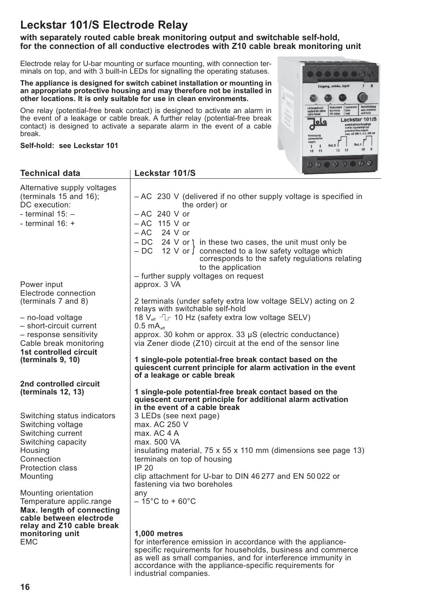# **Leckstar 101/S Electrode Relay**

#### **with separately routed cable break monitoring output and switchable self-hold, for the connection of all conductive electrodes with Z10 cable break monitoring unit**

Electrode relay for U-bar mounting or surface mounting, with connection terminals on top, and with 3 built-in LEDs for signalling the operating statuses.

**The appliance is designed for switch cabinet installation or mounting in an appropriate protective housing and may therefore not be installed in other locations. It is only suitable for use in clean environments.**

One relay (potential-free break contact) is designed to activate an alarm in the event of a leakage or cable break. A further relay (potential-free break contact) is designed to activate a separate alarm in the event of a cable break.

**Self-hold: see Leckstar 101**



| <b>Technical data</b>                                                  | <b>Leckstar 101/S</b>                                                                                                                                                                                     |
|------------------------------------------------------------------------|-----------------------------------------------------------------------------------------------------------------------------------------------------------------------------------------------------------|
| Alternative supply voltages<br>(terminals 15 and 16);<br>DC execution: | - AC 230 V (delivered if no other supply voltage is specified in<br>the order) or                                                                                                                         |
| - terminal $15:$ -                                                     | $-AC$ 240 V or                                                                                                                                                                                            |
| - terminal $16: +$                                                     | $-AC$ 115 V or                                                                                                                                                                                            |
|                                                                        | $-AC$ 24 V or                                                                                                                                                                                             |
|                                                                        | $-DC$ 24 V or $\dagger$ in these two cases, the unit must only be<br>$-DC$ 12 V or $\int$ connected to a low safety voltage which<br>corresponds to the safety regulations relating<br>to the application |
|                                                                        | - further supply voltages on request                                                                                                                                                                      |
| Power input                                                            | approx. 3 VA                                                                                                                                                                                              |
| Electrode connection                                                   |                                                                                                                                                                                                           |
| (terminals 7 and 8)                                                    | 2 terminals (under safety extra low voltage SELV) acting on 2<br>relays with switchable self-hold                                                                                                         |
| - no-load voltage                                                      | 18 $V_{\text{eff}}$ - $L$ 10 Hz (safety extra low voltage SELV)                                                                                                                                           |
| - short-circuit current                                                | $0.5 \text{ mA}_{\text{eff}}$                                                                                                                                                                             |
| - response sensitivity                                                 | approx. 30 kohm or approx. 33 µS (electric conductance)                                                                                                                                                   |
| Cable break monitoring<br>1st controlled circuit                       | via Zener diode (Z10) circuit at the end of the sensor line                                                                                                                                               |
| (terminals 9, 10)                                                      | 1 single-pole potential-free break contact based on the<br>quiescent current principle for alarm activation in the event<br>of a leakage or cable break                                                   |
| 2nd controlled circuit                                                 |                                                                                                                                                                                                           |
| (terminals 12, 13)                                                     | 1 single-pole potential-free break contact based on the<br>quiescent current principle for additional alarm activation<br>in the event of a cable break                                                   |
| Switching status indicators                                            | 3 LEDs (see next page)                                                                                                                                                                                    |
| Switching voltage                                                      | max. AC 250 V                                                                                                                                                                                             |
| Switching current                                                      | max. AC 4 A                                                                                                                                                                                               |
| Switching capacity                                                     | max. 500 VA                                                                                                                                                                                               |
| Housing                                                                | insulating material, 75 x 55 x 110 mm (dimensions see page 13)                                                                                                                                            |
| Connection                                                             | terminals on top of housing<br><b>IP 20</b>                                                                                                                                                               |
| <b>Protection class</b><br>Mounting                                    | clip attachment for U-bar to DIN 46 277 and EN 50 022 or                                                                                                                                                  |
|                                                                        | fastening via two boreholes                                                                                                                                                                               |
| Mounting orientation                                                   | any                                                                                                                                                                                                       |
| Temperature applic.range                                               | $-15^{\circ}$ C to + 60 $^{\circ}$ C                                                                                                                                                                      |
| Max. length of connecting                                              |                                                                                                                                                                                                           |
| cable between electrode                                                |                                                                                                                                                                                                           |
| relay and Z10 cable break<br>monitoring unit                           | 1,000 metres                                                                                                                                                                                              |
| <b>EMC</b>                                                             | for interference emission in accordance with the appliance-                                                                                                                                               |
|                                                                        | specific requirements for households, business and commerce                                                                                                                                               |

industrial companies.

as well as small companies, and for interference immunity in accordance with the appliance-specific requirements for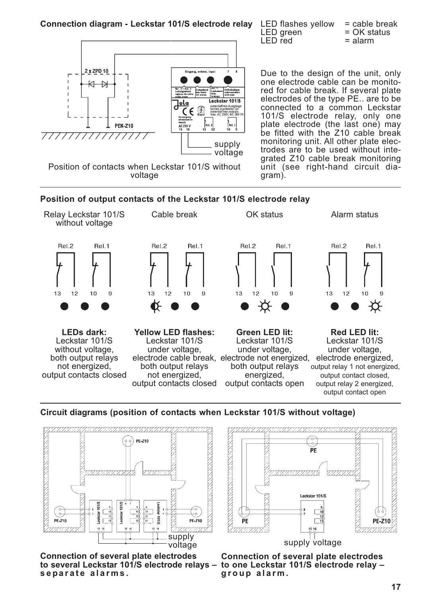

Due to the design of the unit, only one electrode cable can be monitored for cable break. If several plate electrodes of the type PE.. are to be connected to a common Leckstar 101/S electrode relay, only one plate electrode (the last one) may be fitted with the Z10 cable break monitoring unit. All other plate electrodes are to be used without inte-

grated Z10 cable break monitoring unit (see right-hand circuit dia-

 $LED$  green  $= OK$  status  $LED$  red  $=$  alarm

 $LED$  red

gram).

Position of contacts when Leckstar 101/S without voltage

**Position of output contacts of the Leckstar 101/S electrode relay**



#### **Circuit diagrams (position of contacts when Leckstar 101/S without voltage)**



**Connection of several plate electrodes** to several Leckstar 101/S electrode relays – to one Leckstar 101/S electrode relay – **separate alarms.**



**Connection of several plate electrodes group alarm.**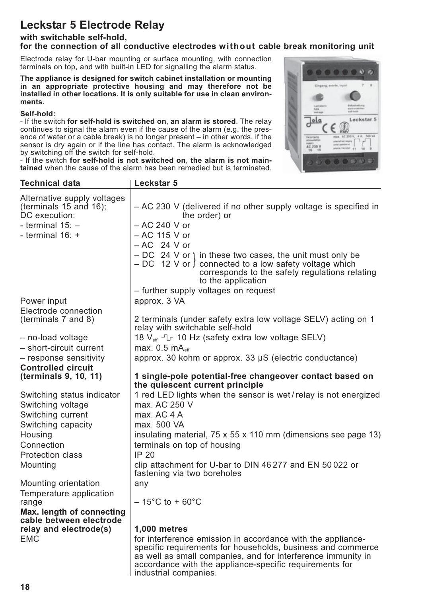# **Leckstar 5 Electrode Relay**

## **with switchable self-hold,**

## **for the connection of all conductive electrodes without cable break monitoring unit**

Electrode relay for U-bar mounting or surface mounting, with connection terminals on top, and with built-in LED for signalling the alarm status.

**The appliance is designed for switch cabinet installation or mounting in an appropriate protective housing and may therefore not be installed in other locations. It is only suitable for use in clean environments.**

#### **Self-hold:**

- If the switch **for self-hold is switched on**, **an alarm is stored**. The relay continues to signal the alarm even if the cause of the alarm  $(e.a. the pres$ ence of water or a cable break) is no longer present – in other words, if the sensor is dry again or if the line has contact. The alarm is acknowledged by switching off the switch for self-hold.

- If the switch **for self-hold is not switched on**, **the alarm is not maintained** when the cause of the alarm has been remedied but is terminated.



| <b>Technical data</b>                                                       | <b>Leckstar 5</b>                                                                                                                                                                                                                                     |
|-----------------------------------------------------------------------------|-------------------------------------------------------------------------------------------------------------------------------------------------------------------------------------------------------------------------------------------------------|
| Alternative supply voltages<br>(terminals $15$ and $16$ );<br>DC execution: | - AC 230 V (delivered if no other supply voltage is specified in<br>the order) or                                                                                                                                                                     |
| - terminal $15: -$                                                          | - AC 240 V or                                                                                                                                                                                                                                         |
| - terminal $16: +$                                                          | - AC 115 V or                                                                                                                                                                                                                                         |
|                                                                             | $-AC$ 24 V or                                                                                                                                                                                                                                         |
|                                                                             | $-DC$ 24 V or 1 in these two cases, the unit must only be<br>$-DC$ 12 V or $\int$ connected to a low safety voltage which<br>corresponds to the safety regulations relating<br>to the application                                                     |
|                                                                             | - further supply voltages on request                                                                                                                                                                                                                  |
| Power input                                                                 | approx. 3 VA                                                                                                                                                                                                                                          |
| Electrode connection                                                        |                                                                                                                                                                                                                                                       |
| (terminals 7 and 8)                                                         | 2 terminals (under safety extra low voltage SELV) acting on 1<br>relay with switchable self-hold                                                                                                                                                      |
| - no-load voltage                                                           | 18 V <sub>eff</sub> - 10 Hz (safety extra low voltage SELV)                                                                                                                                                                                           |
| - short-circuit current                                                     | max. $0.5 \text{ mA}_{\text{eff}}$                                                                                                                                                                                                                    |
| - response sensitivity                                                      | approx. 30 kohm or approx. 33 $\mu$ S (electric conductance)                                                                                                                                                                                          |
| <b>Controlled circuit</b>                                                   |                                                                                                                                                                                                                                                       |
| (terminals 9, 10, 11)                                                       | 1 single-pole potential-free changeover contact based on<br>the quiescent current principle                                                                                                                                                           |
| Switching status indicator                                                  | 1 red LED lights when the sensor is wet/relay is not energized                                                                                                                                                                                        |
| Switching voltage                                                           | max. AC 250 V                                                                                                                                                                                                                                         |
| Switching current                                                           | max. AC 4 A                                                                                                                                                                                                                                           |
| Switching capacity                                                          | max. 500 VA                                                                                                                                                                                                                                           |
| Housing                                                                     | insulating material, 75 x 55 x 110 mm (dimensions see page 13)                                                                                                                                                                                        |
| Connection                                                                  | terminals on top of housing                                                                                                                                                                                                                           |
| <b>Protection class</b>                                                     | <b>IP 20</b>                                                                                                                                                                                                                                          |
| Mounting                                                                    | clip attachment for U-bar to DIN 46 277 and EN 50 022 or<br>fastening via two boreholes                                                                                                                                                               |
| Mounting orientation                                                        | any                                                                                                                                                                                                                                                   |
| Temperature application                                                     |                                                                                                                                                                                                                                                       |
| range                                                                       | $-15^{\circ}$ C to + 60 $^{\circ}$ C                                                                                                                                                                                                                  |
| Max. length of connecting                                                   |                                                                                                                                                                                                                                                       |
| cable between electrode                                                     |                                                                                                                                                                                                                                                       |
| relay and electrode(s)                                                      | <b>1,000 metres</b>                                                                                                                                                                                                                                   |
| <b>EMC</b>                                                                  | for interference emission in accordance with the appliance-<br>specific requirements for households, business and commerce<br>as well as small companies, and for interference immunity in<br>accordance with the appliance-specific requirements for |

l industrial companies.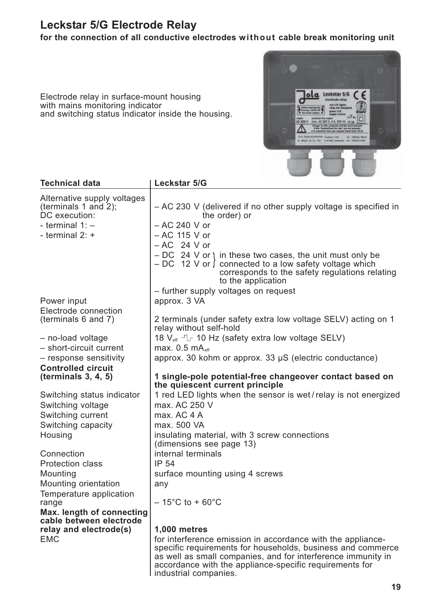# **Leckstar 5/G Electrode Relay**

Electrode relay in surface-mount housing

and switching status indicator inside the housing.

with mains monitoring indicator

**for the connection of all conductive electrodes without cable break monitoring unit**



| <b>Technical data</b>                 | Leckstar 5/G                                                                                                                                                                                      |
|---------------------------------------|---------------------------------------------------------------------------------------------------------------------------------------------------------------------------------------------------|
| Alternative supply voltages           |                                                                                                                                                                                                   |
| (terminals 1 and 2);<br>DC execution: | - AC 230 V (delivered if no other supply voltage is specified in<br>the order) or                                                                                                                 |
| - terminal $1:$ -                     | $-$ AC 240 V or                                                                                                                                                                                   |
| - terminal $2: +$                     | - AC 115 V or                                                                                                                                                                                     |
|                                       | $-AC$ 24 V or                                                                                                                                                                                     |
|                                       | $-DC$ 24 V or 1 in these two cases, the unit must only be<br>$-DC$ 12 V or $\int$ connected to a low safety voltage which<br>corresponds to the safety regulations relating<br>to the application |
|                                       | - further supply voltages on request                                                                                                                                                              |
| Power input                           | approx. 3 VA                                                                                                                                                                                      |
| Electrode connection                  |                                                                                                                                                                                                   |
| (terminals 6 and 7)                   | 2 terminals (under safety extra low voltage SELV) acting on 1<br>relay without self-hold                                                                                                          |
| - no-load voltage                     | 18 $V_{\text{eff}}$ - $L$ 10 Hz (safety extra low voltage SELV)                                                                                                                                   |
| - short-circuit current               | max. $0.5 \text{ mA}_{\text{eff}}$                                                                                                                                                                |
| - response sensitivity                | approx. 30 kohm or approx. 33 $\mu$ S (electric conductance)                                                                                                                                      |
| <b>Controlled circuit</b>             |                                                                                                                                                                                                   |
| (terminals 3, 4, 5)                   | 1 single-pole potential-free changeover contact based on<br>the quiescent current principle                                                                                                       |
| Switching status indicator            | 1 red LED lights when the sensor is wet/relay is not energized                                                                                                                                    |
| Switching voltage                     | max. AC 250 V                                                                                                                                                                                     |
| Switching current                     | max. AC 4 A                                                                                                                                                                                       |
| Switching capacity                    | max. 500 VA                                                                                                                                                                                       |
| Housing                               | insulating material, with 3 screw connections<br>(dimensions see page 13)                                                                                                                         |
| Connection                            | internal terminals                                                                                                                                                                                |
| <b>Protection class</b>               | <b>IP 54</b>                                                                                                                                                                                      |
| Mounting                              | surface mounting using 4 screws                                                                                                                                                                   |
| Mounting orientation                  | any                                                                                                                                                                                               |
| Temperature application               |                                                                                                                                                                                                   |
| range                                 | $-15^{\circ}$ C to + 60 $^{\circ}$ C                                                                                                                                                              |
| Max. length of connecting             |                                                                                                                                                                                                   |
| cable between electrode               |                                                                                                                                                                                                   |
| relay and electrode(s)                | <b>1,000 metres</b>                                                                                                                                                                               |
| <b>EMC</b>                            | for interference emission in accordance with the appliance-<br>specific requirements for households, business and commerce<br>as well as small companies, and for interference immunity in        |

industrial companies.

accordance with the appliance-specific requirements for

**19**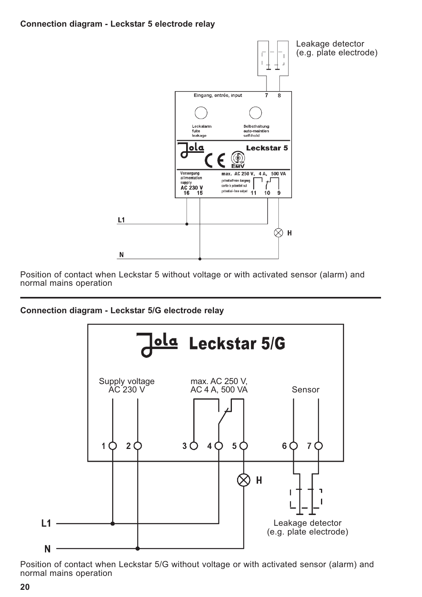#### **Connection diagram - Leckstar 5 electrode relay**



Position of contact when Leckstar 5 without voltage or with activated sensor (alarm) and normal mains operation

#### **Connection diagram - Leckstar 5/G electrode relay**



Position of contact when Leckstar 5/G without voltage or with activated sensor (alarm) and normal mains operation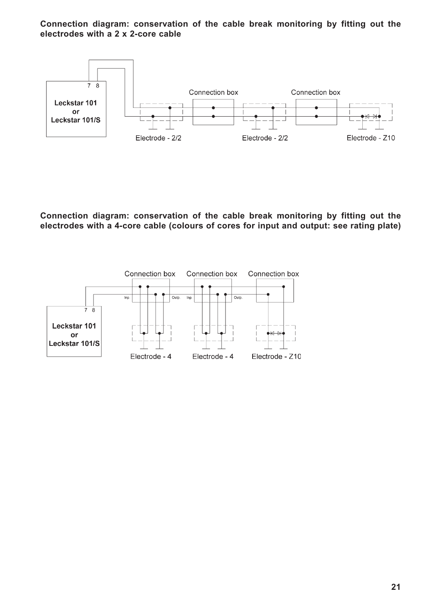#### **Connection diagram: conservation of the cable break monitoring by fitting out the electrodes with a 2 x 2-core cable**



**Connection diagram: conservation of the cable break monitoring by fitting out the electrodes with a 4-core cable (colours of cores for input and output: see rating plate)**